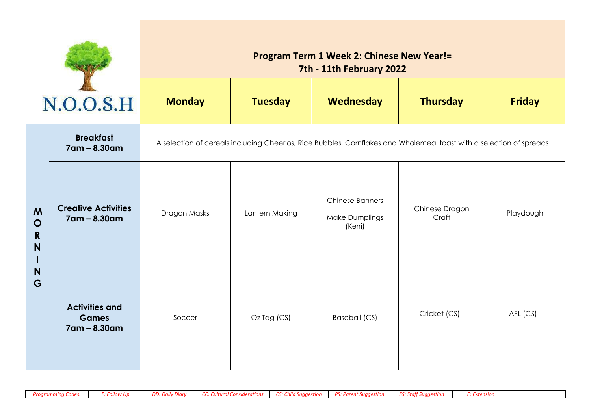|                                                |                                                       | <b>Program Term 1 Week 2: Chinese New Year!=</b><br>7th - 11th February 2022                                        |                |                                                                                       |              |               |  |  |  |
|------------------------------------------------|-------------------------------------------------------|---------------------------------------------------------------------------------------------------------------------|----------------|---------------------------------------------------------------------------------------|--------------|---------------|--|--|--|
|                                                | N.O.O.S.H                                             | <b>Monday</b>                                                                                                       | <b>Tuesday</b> | Wednesday<br><b>Thursday</b>                                                          |              | <b>Friday</b> |  |  |  |
|                                                | <b>Breakfast</b><br>7am - 8.30am                      | A selection of cereals including Cheerios, Rice Bubbles, Cornflakes and Wholemeal toast with a selection of spreads |                |                                                                                       |              |               |  |  |  |
| M<br>$\mathbf O$<br>$\mathbf R$<br>N<br>N<br>G | <b>Creative Activities</b><br>$7$ am – 8.30am         | Dragon Masks                                                                                                        | Lantern Making | <b>Chinese Banners</b><br>Chinese Dragon<br><b>Make Dumplings</b><br>Craft<br>(Kerri) |              | Playdough     |  |  |  |
|                                                | <b>Activities and</b><br><b>Games</b><br>7am - 8.30am | Soccer                                                                                                              | Oz Tag (CS)    | Baseball (CS)                                                                         | Cricket (CS) | AFL (CS)      |  |  |  |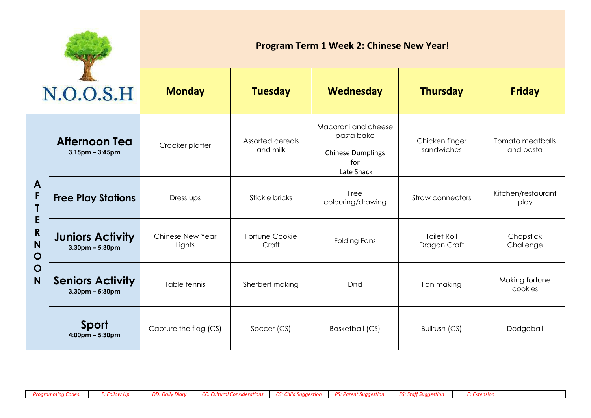| N.O.O.S.H                                                          |                                                  | Program Term 1 Week 2: Chinese New Year! |                              |                                                                                    |                                    |                               |  |  |
|--------------------------------------------------------------------|--------------------------------------------------|------------------------------------------|------------------------------|------------------------------------------------------------------------------------|------------------------------------|-------------------------------|--|--|
|                                                                    |                                                  | <b>Monday</b>                            | <b>Tuesday</b>               | Wednesday                                                                          | <b>Thursday</b>                    | <b>Friday</b>                 |  |  |
|                                                                    | <b>Afternoon Tea</b><br>$3.15$ pm – $3:45$ pm    | Cracker platter                          | Assorted cereals<br>and milk | Macaroni and cheese<br>pasta bake<br><b>Chinese Dumplings</b><br>for<br>Late Snack | Chicken finger<br>sandwiches       | Tomato meatballs<br>and pasta |  |  |
| A<br>F<br>E<br>$\mathbf R$<br>N<br>$\mathbf O$<br>$\mathbf O$<br>N | <b>Free Play Stations</b>                        | Dress ups                                | Stickle bricks               | Free<br>colouring/drawing                                                          | <b>Straw connectors</b>            | Kitchen/restaurant<br>play    |  |  |
|                                                                    | <b>Juniors Activity</b><br>$3.30$ pm – $5:30$ pm | Chinese New Year<br>Lights               | Fortune Cookie<br>Craft      | <b>Folding Fans</b>                                                                | <b>Toilet Roll</b><br>Dragon Craft | Chopstick<br>Challenge        |  |  |
|                                                                    | <b>Seniors Activity</b><br>$3.30pm - 5:30pm$     | Table tennis                             | Sherbert making              | Dnd                                                                                | Fan making                         | Making fortune<br>cookies     |  |  |
|                                                                    | Sport<br>$4:00 \text{pm} - 5:30 \text{pm}$       | Capture the flag (CS)                    | Soccer (CS)                  | <b>Basketball (CS)</b>                                                             | Bullrush (CS)                      | Dodgeball                     |  |  |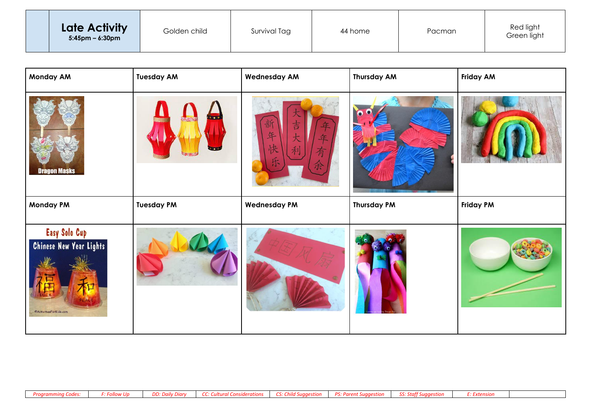|  | Late Activity<br>$5:45$ pm – 6:30pm | Golden child | Survival Tag | 44 home | Pacman | Red light<br>Green light |
|--|-------------------------------------|--------------|--------------|---------|--------|--------------------------|
|--|-------------------------------------|--------------|--------------|---------|--------|--------------------------|

| <b>Monday AM</b>                                                          | <b>Tuesday AM</b> | <b>Wednesday AM</b> | <b>Thursday AM</b> | <b>Friday AM</b> |
|---------------------------------------------------------------------------|-------------------|---------------------|--------------------|------------------|
| <b>Dragon Masks</b>                                                       |                   | 吉<br>夬<br>Ŕ         |                    |                  |
| <b>Monday PM</b>                                                          | <b>Tuesday PM</b> | <b>Wednesday PM</b> | <b>Thursday PM</b> | <b>Friday PM</b> |
| Easy Solo Cup<br><b>Chinese New Year Lights</b><br>©ActivitiesForKids.com |                   |                     |                    |                  |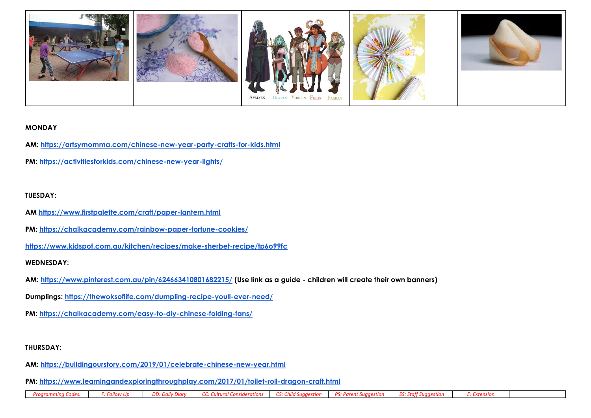

#### **MONDAY**

- **AM:<https://artsymomma.com/chinese-new-year-party-crafts-for-kids.html>**
- **PM:<https://activitiesforkids.com/chinese-new-year-lights/>**

## **TUESDAY:**

- **AM<https://www.firstpalette.com/craft/paper-lantern.html>**
- **PM:<https://chalkacademy.com/rainbow-paper-fortune-cookies/>**
- **<https://www.kidspot.com.au/kitchen/recipes/make-sherbet-recipe/tp6o99fc>**

#### **WEDNESDAY:**

- **AM:<https://www.pinterest.com.au/pin/624663410801682215/> (Use link as a guide - children will create their own banners)**
- **Dumplings:<https://thewoksoflife.com/dumpling-recipe-youll-ever-need/>**
- **PM:<https://chalkacademy.com/easy-to-diy-chinese-folding-fans/>**

#### **THURSDAY:**

- **AM:<https://buildingourstory.com/2019/01/celebrate-chinese-new-year.html>**
- **PM:<https://www.learningandexploringthroughplay.com/2017/01/toilet-roll-dragon-craft.html>**

*Programming Codes: F: Follow Up DD: Daily Diary CC: Cultural Considerations CS: Child Suggestion PS: Parent Suggestion SS: Staff Suggestion E: Extension*